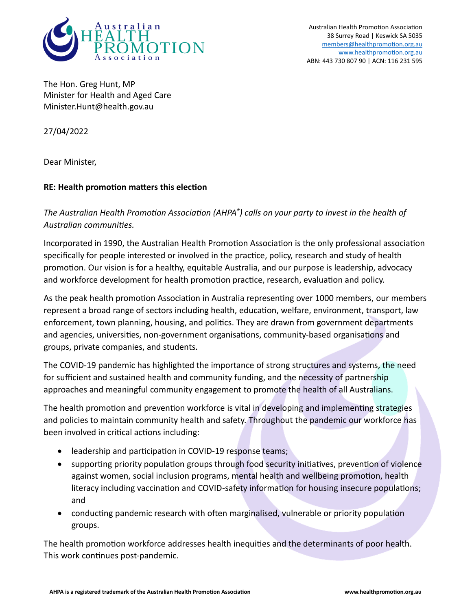

Australian Health Promotion Association 38 Surrey Road | Keswick SA 5035 members@healthpromotion.org.au www.healthpromotion.org.au ABN: 443 730 807 90 | ACN: 116 231 595

The Hon. Greg Hunt, MP Minister for Health and Aged Care Minister.Hunt@health.gov.au

27/04/2022

Dear Minister,

## **RE: Health promotion matters this election**

*The Australian Health Promotion Association (AHPA® ) calls on your party to invest in the health of Australian communities.* 

Incorporated in 1990, the Australian Health Promotion Association is the only professional association specifically for people interested or involved in the practice, policy, research and study of health promotion. Our vision is for a healthy, equitable Australia, and our purpose is leadership, advocacy and workforce development for health promotion practice, research, evaluation and policy.

As the peak health promotion Association in Australia representing over 1000 members, our members represent a broad range of sectors including health, education, welfare, environment, transport, law enforcement, town planning, housing, and politics. They are drawn from government departments and agencies, universities, non-government organisations, community-based organisations and groups, private companies, and students.

The COVID-19 pandemic has highlighted the importance of strong structures and systems, the need for sufficient and sustained health and community funding, and the necessity of partnership approaches and meaningful community engagement to promote the health of all Australians.

The health promotion and prevention workforce is vital in developing and implementing strategies and policies to maintain community health and safety. Throughout the pandemic our workforce has been involved in critical actions including:

- leadership and participation in COVID-19 response teams;
- supporting priority population groups through food security initiatives, prevention of violence against women, social inclusion programs, mental health and wellbeing promotion, health literacy including vaccination and COVID-safety information for housing insecure populations; and
- conducting pandemic research with often marginalised, vulnerable or priority population groups.

The health promotion workforce addresses health inequities and the determinants of poor health. This work continues post-pandemic.